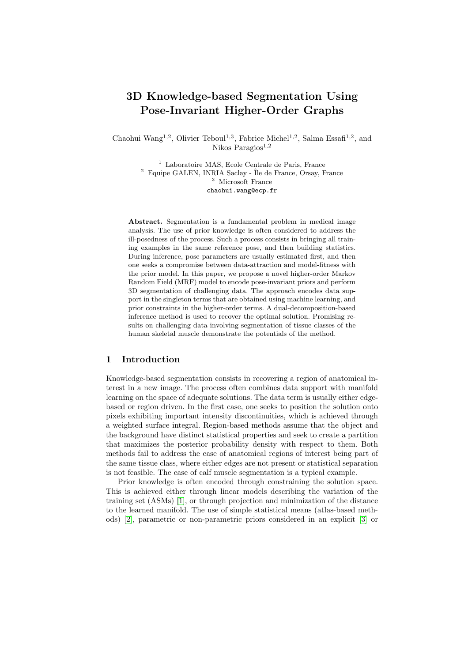# 3D Knowledge-based Segmentation Using Pose-Invariant Higher-Order Graphs

Chaohui Wang<sup>1,2</sup>, Olivier Teboul<sup>1,3</sup>, Fabrice Michel<sup>1,2</sup>, Salma Essafi<sup>1,2</sup>, and Nikos Paragios $^{1,2}$ 

> <sup>1</sup> Laboratoire MAS, Ecole Centrale de Paris, France  $2$  Equipe GALEN, INRIA Saclay -  $\hat{I}$ le de France, Orsay, France <sup>3</sup> Microsoft France chaohui.wang@ecp.fr

Abstract. Segmentation is a fundamental problem in medical image analysis. The use of prior knowledge is often considered to address the ill-posedness of the process. Such a process consists in bringing all training examples in the same reference pose, and then building statistics. During inference, pose parameters are usually estimated first, and then one seeks a compromise between data-attraction and model-fitness with the prior model. In this paper, we propose a novel higher-order Markov Random Field (MRF) model to encode pose-invariant priors and perform 3D segmentation of challenging data. The approach encodes data support in the singleton terms that are obtained using machine learning, and prior constraints in the higher-order terms. A dual-decomposition-based inference method is used to recover the optimal solution. Promising results on challenging data involving segmentation of tissue classes of the human skeletal muscle demonstrate the potentials of the method.

## 1 Introduction

Knowledge-based segmentation consists in recovering a region of anatomical interest in a new image. The process often combines data support with manifold learning on the space of adequate solutions. The data term is usually either edgebased or region driven. In the first case, one seeks to position the solution onto pixels exhibiting important intensity discontinuities, which is achieved through a weighted surface integral. Region-based methods assume that the object and the background have distinct statistical properties and seek to create a partition that maximizes the posterior probability density with respect to them. Both methods fail to address the case of anatomical regions of interest being part of the same tissue class, where either edges are not present or statistical separation is not feasible. The case of calf muscle segmentation is a typical example.

Prior knowledge is often encoded through constraining the solution space. This is achieved either through linear models describing the variation of the training set (ASMs) [\[1\]](#page-7-0), or through projection and minimization of the distance to the learned manifold. The use of simple statistical means (atlas-based methods) [\[2\]](#page-7-1), parametric or non-parametric priors considered in an explicit [\[3\]](#page-7-2) or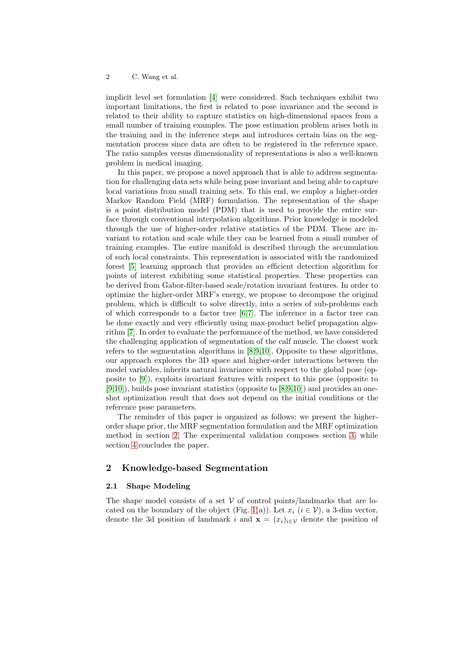#### 2 C. Wang et al.

implicit level set formulation [\[4\]](#page-7-3) were considered. Such techniques exhibit two important limitations, the first is related to pose invariance and the second is related to their ability to capture statistics on high-dimensional spaces from a small number of training examples. The pose estimation problem arises both in the training and in the inference steps and introduces certain bias on the segmentation process since data are often to be registered in the reference space. The ratio samples versus dimensionality of representations is also a well-known problem in medical imaging.

In this paper, we propose a novel approach that is able to address segmentation for challenging data sets while being pose invariant and being able to capture local variations from small training sets. To this end, we employ a higher-order Markov Random Field (MRF) formulation. The representation of the shape is a point distribution model (PDM) that is used to provide the entire surface through conventional interpolation algorithms. Prior knowledge is modeled through the use of higher-order relative statistics of the PDM. These are invariant to rotation and scale while they can be learned from a small number of training examples. The entire manifold is described through the accumulation of such local constraints. This representation is associated with the randomized forest [\[5\]](#page-7-4) learning approach that provides an efficient detection algorithm for points of interest exhibiting some statistical properties. These properties can be derived from Gabor-filter-based scale/rotation invariant features. In order to optimize the higher-order MRF's energy, we propose to decompose the original problem, which is difficult to solve directly, into a series of sub-problems each of which corresponds to a factor tree [\[6](#page-7-5)[,7\]](#page-7-6). The inference in a factor tree can be done exactly and very efficiently using max-product belief propagation algorithm [\[7\]](#page-7-6). In order to evaluate the performance of the method, we have considered the challenging application of segmentation of the calf muscle. The closest work refers to the segmentation algorithms in [\[8,](#page-7-7)[9](#page-7-8)[,10\]](#page-7-9). Opposite to these algorithms, our approach explores the 3D space and higher-order interactions between the model variables, inherits natural invariance with respect to the global pose (opposite to [\[9\]](#page-7-8)), exploits invariant features with respect to this pose (opposite to [\[9,](#page-7-8)[10\]](#page-7-9)), builds pose invariant statistics (opposite to [\[8,](#page-7-7)[9,](#page-7-8)[10\]](#page-7-9)) and provides an oneshot optimization result that does not depend on the initial conditions or the reference pose parameters.

The reminder of this paper is organized as follows: we present the higherorder shape prior, the MRF segmentation formulation and the MRF optimization method in section [2.](#page-1-0) The experimental validation composes section [3,](#page-5-0) while section [4](#page-6-0) concludes the paper.

## <span id="page-1-0"></span>2 Knowledge-based Segmentation

#### <span id="page-1-1"></span>2.1 Shape Modeling

The shape model consists of a set  $V$  of control points/landmarks that are lo-cated on the boundary of the object (Fig. [1\(](#page-2-0)a)). Let  $x_i$   $(i \in \mathcal{V})$ , a 3-dim vector, denote the 3d position of landmark i and  $\mathbf{x} = (x_i)_{i \in \mathcal{V}}$  denote the position of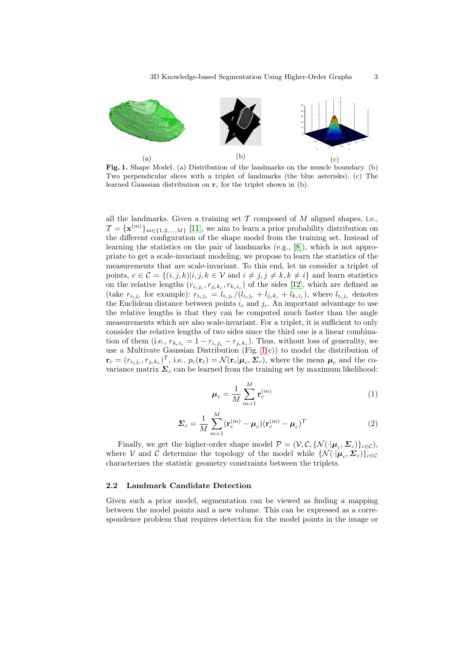

<span id="page-2-0"></span>Fig. 1. Shape Model. (a) Distribution of the landmarks on the muscle boundary. (b) Two perpendicular slices with a triplet of landmarks (the blue asterisks). (c) The learned Gaussian distribution on  $r_c$  for the triplet shown in (b).

all the landmarks. Given a training set  $T$  composed of  $M$  aligned shapes, i.e.,  $\mathcal{T} = {\mathbf{x}^{(m)}}_{m \in \{1,2,...,M\}}$  [\[11\]](#page-7-10), we aim to learn a prior probability distribution on the different configuration of the shape model from the training set. Instead of learning the statistics on the pair of landmarks (e.g., [\[8\]](#page-7-7)), which is not appropriate to get a scale-invariant modeling, we propose to learn the statistics of the measurements that are scale-invariant. To this end, let us consider a triplet of points,  $c \in \mathcal{C} = \{(i, j, k)|i, j, k \in \mathcal{V} \text{ and } i \neq j, j \neq k, k \neq i\}$  and learn statistics on the relative lengths  $(r_{i_cj_c}, r_{j_ck_c}, r_{k_ci_c})$  of the sides [\[12\]](#page-7-11), which are defined as (take  $r_{i_cj_c}$  for example):  $r_{i_cj_c} = l_{i_cj_c}/(l_{i_cj_c} + l_{j_ck_c} + l_{k_ci_c})$ , where  $l_{i_cj_c}$  denotes the Euclidean distance between points  $i_c$  and  $j_c$ . An important advantage to use the relative lengths is that they can be computed much faster than the angle measurements which are also scale-invariant. For a triplet, it is sufficient to only consider the relative lengths of two sides since the third one is a linear combination of them (i.e.,  $r_{k_c i_c} = 1 - r_{i_c j_c} - r_{j_c k_c}$ ). Thus, without loss of generality, we use a Multivate Gaussian Distribution (Fig. [1\(](#page-2-0)c)) to model the distribution of  $\mathbf{r}_c = (r_{i_cj_c}, r_{j_ck_c})^T$ , i.e.,  $p_c(\mathbf{r}_c) = \mathcal{N}(\mathbf{r}_c|\boldsymbol{\mu}_c, \boldsymbol{\Sigma}_c)$ , where the mean  $\boldsymbol{\mu}_c$  and the covariance matrix  $\Sigma_c$  can be learned from the training set by maximum likelihood:

$$
\mu_c = \frac{1}{M} \sum_{m=1}^{M} \mathbf{r}_c^{(m)} \tag{1}
$$

$$
\Sigma_c = \frac{1}{M} \sum_{m=1}^{M} (\mathbf{r}_c^{(m)} - \boldsymbol{\mu}_c)(\mathbf{r}_c^{(m)} - \boldsymbol{\mu}_c)^T
$$
(2)

Finally, we get the higher-order shape model  $P = (\mathcal{V}, \mathcal{C}, \{\mathcal{N}(\cdot | \boldsymbol{\mu}_c, \boldsymbol{\Sigma}_c)\}_{c \in \mathcal{C}})$ , where V and C determine the topology of the model while  $\{\mathcal{N}(\cdot|\mu_c, \Sigma_c)\}_{c \in \mathcal{C}}$ characterizes the statistic geometry constraints between the triplets.

## <span id="page-2-1"></span>2.2 Landmark Candidate Detection

Given such a prior model, segmentation can be viewed as finding a mapping between the model points and a new volume. This can be expressed as a correspondence problem that requires detection for the model points in the image or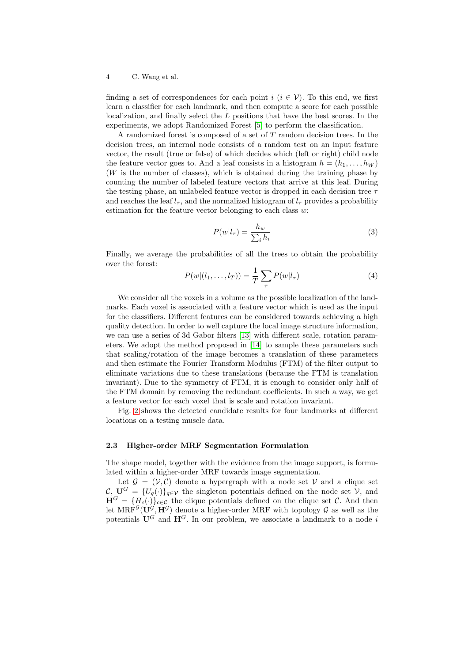4 C. Wang et al.

finding a set of correspondences for each point  $i$   $(i \in V)$ . To this end, we first learn a classifier for each landmark, and then compute a score for each possible localization, and finally select the L positions that have the best scores. In the experiments, we adopt Randomized Forest [\[5\]](#page-7-4) to perform the classification.

A randomized forest is composed of a set of  $T$  random decision trees. In the decision trees, an internal node consists of a random test on an input feature vector, the result (true or false) of which decides which (left or right) child node the feature vector goes to. And a leaf consists in a histogram  $h = (h_1, \ldots, h_W)$ (W is the number of classes), which is obtained during the training phase by counting the number of labeled feature vectors that arrive at this leaf. During the testing phase, an unlabeled feature vector is dropped in each decision tree  $\tau$ and reaches the leaf  $l_{\tau}$ , and the normalized histogram of  $l_{\tau}$  provides a probability estimation for the feature vector belonging to each class  $w$ :

$$
P(w|l_{\tau}) = \frac{h_w}{\sum_i h_i} \tag{3}
$$

<span id="page-3-0"></span>Finally, we average the probabilities of all the trees to obtain the probability over the forest:

$$
P(w|(l_1,\ldots,l_T)) = \frac{1}{T} \sum_{\tau} P(w|l_{\tau})
$$
\n(4)

We consider all the voxels in a volume as the possible localization of the landmarks. Each voxel is associated with a feature vector which is used as the input for the classifiers. Different features can be considered towards achieving a high quality detection. In order to well capture the local image structure information, we can use a series of 3d Gabor filters [\[13\]](#page-7-12) with different scale, rotation parameters. We adopt the method proposed in [\[14\]](#page-7-13) to sample these parameters such that scaling/rotation of the image becomes a translation of these parameters and then estimate the Fourier Transform Modulus (FTM) of the filter output to eliminate variations due to these translations (because the FTM is translation invariant). Due to the symmetry of FTM, it is enough to consider only half of the FTM domain by removing the redundant coefficients. In such a way, we get a feature vector for each voxel that is scale and rotation invariant.

Fig. [2](#page-5-1) shows the detected candidate results for four landmarks at different locations on a testing muscle data.

#### 2.3 Higher-order MRF Segmentation Formulation

The shape model, together with the evidence from the image support, is formulated within a higher-order MRF towards image segmentation.

Let  $\mathcal{G} = (\mathcal{V}, \mathcal{C})$  denote a hypergraph with a node set V and a clique set  $\mathcal{C}, \mathbf{U}^G = \{U_q(\cdot)\}_{q \in \mathcal{V}}$  the singleton potentials defined on the node set V, and  $\mathbf{H}^G = \{H_c(\cdot)\}_{c \in \mathcal{C}}$  the clique potentials defined on the clique set C. And then let  $\text{MRF}^{\mathcal{G}}(\mathbf{U}^{\mathcal{G}},\mathbf{H}^{\mathcal{G}})$  denote a higher-order MRF with topology  $\mathcal{G}$  as well as the potentials  $\mathbf{U}^G$  and  $\mathbf{H}^G$ . In our problem, we associate a landmark to a node i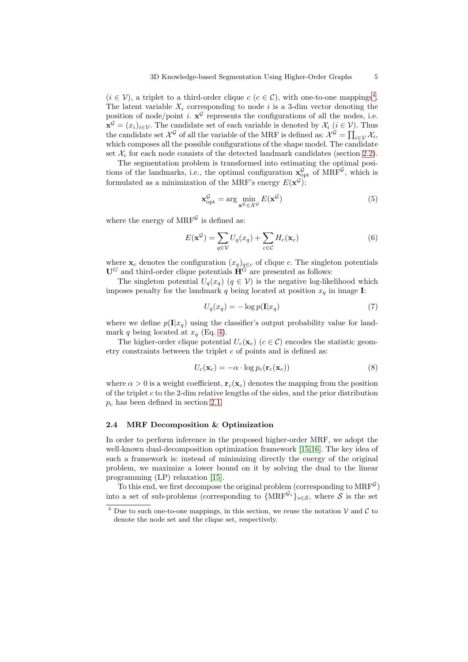$(i \in \mathcal{V})$ , a triplet to a third-order clique  $c$   $(c \in \mathcal{C})$ , with one-to-one mappings<sup>[4](#page-4-0)</sup>. The latent variable  $X_i$  corresponding to node i is a 3-dim vector denoting the position of node/point *i*.  $x^{\mathcal{G}}$  represents the configurations of all the nodes, i.e.  $\mathbf{x}^{\mathcal{G}} = (x_i)_{i \in \mathcal{V}}$ . The candidate set of each variable is denoted by  $\mathcal{X}_i$   $(i \in \mathcal{V})$ . Thus the candidate set  $\mathcal{X}^{\mathcal{G}}$  of all the variable of the MRF is defined as:  $\mathcal{X}^{\mathcal{G}} = \prod_{i \in \mathcal{V}} \mathcal{X}_i$ , which composes all the possible configurations of the shape model. The candidate set  $\mathcal{X}_i$  for each node consists of the detected landmark candidates (section [2.2\)](#page-2-1).

The segmentation problem is transformed into estimating the optimal positions of the landmarks, i.e., the optimal configuration  $x_{opt}^{\mathcal{G}}$  of  $MRF^{\mathcal{G}}$ , which is formulated as a minimization of the MRF's energy  $E(\mathbf{x}^{\mathcal{G}})$ :

$$
\mathbf{x}_{\text{opt}}^{\mathcal{G}} = \arg\min_{\mathbf{x}^{\mathcal{G}} \in \mathcal{X}^{\mathcal{G}}} E(\mathbf{x}^{\mathcal{G}})
$$
(5)

where the energy of  $MRF^{\mathcal{G}}$  is defined as:

$$
E(\mathbf{x}^{\mathcal{G}}) = \sum_{q \in \mathcal{V}} U_q(x_q) + \sum_{c \in \mathcal{C}} H_c(\mathbf{x}_c)
$$
(6)

where  $\mathbf{x}_c$  denotes the configuration  $(x_q)_{q \in c}$  of clique c. The singleton potentials  $\mathbf{U}^G$  and third-order clique potentials  $\mathbf{H}^G$  are presented as follows:

The singleton potential  $U_q(x_q)$   $(q \in V)$  is the negative log-likelihood which imposes penalty for the landmark q being located at position  $x<sub>q</sub>$  in image I:

$$
U_q(x_q) = -\log p(\mathbf{I}|x_q) \tag{7}
$$

where we define  $p(\mathbf{I}|x_q)$  using the classifier's output probability value for landmark q being located at  $x_q$  (Eq. [4\)](#page-3-0).

The higher-order clique potential  $U_c(\mathbf{x}_c)$  ( $c \in \mathcal{C}$ ) encodes the statistic geometry constraints between the triplet  $c$  of points and is defined as:

$$
U_c(\mathbf{x}_c) = -\alpha \cdot \log p_c(\mathbf{r}_c(\mathbf{x}_c))
$$
\n(8)

where  $\alpha > 0$  is a weight coefficient,  $\mathbf{r}_c(\mathbf{x}_c)$  denotes the mapping from the position of the triplet  $c$  to the 2-dim relative lengths of the sides, and the prior distribution  $p_c$  has been defined in section [2.1.](#page-1-1)

#### 2.4 MRF Decomposition & Optimization

In order to perform inference in the proposed higher-order MRF, we adopt the well-known dual-decomposition optimization framework [\[15,](#page-7-14)[16\]](#page-7-15). The key idea of such a framework is: instead of minimizing directly the energy of the original problem, we maximize a lower bound on it by solving the dual to the linear programming (LP) relaxation [\[15\]](#page-7-14).

To this end, we first decompose the original problem (corresponding to  $MRF^{\mathcal{G}}$ ) into a set of sub-problems (corresponding to  $\overline{\{MRF^{\mathcal{G}_s}\}_{s\in\mathcal{S}}}$ , where  $\overline{\mathcal{S}}$  is the set

<span id="page-4-0"></span> $4$  Due to such one-to-one mappings, in this section, we reuse the notation V and C to denote the node set and the clique set, respectively.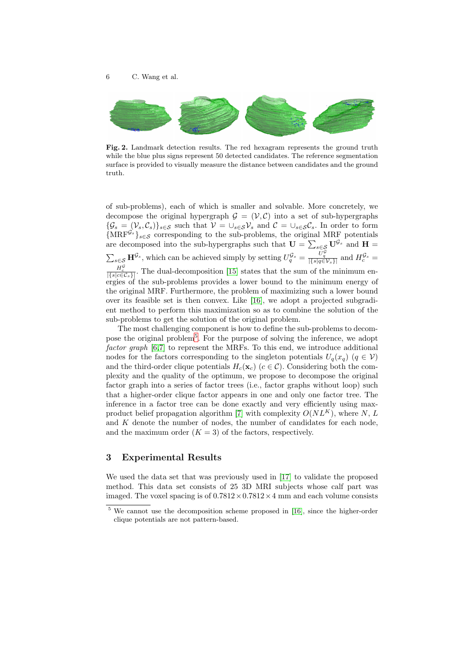



<span id="page-5-1"></span>Fig. 2. Landmark detection results. The red hexagram represents the ground truth while the blue plus signs represent 50 detected candidates. The reference segmentation surface is provided to visually measure the distance between candidates and the ground truth.

of sub-problems), each of which is smaller and solvable. More concretely, we decompose the original hypergraph  $\mathcal{G} = (\mathcal{V}, \mathcal{C})$  into a set of sub-hypergraphs  $\{\mathcal{G}_s = (\mathcal{V}_s, \mathcal{C}_s)\}_{s \in \mathcal{S}}$  such that  $\mathcal{V} = \cup_{s \in \mathcal{S}} \mathcal{V}_s$  and  $\mathcal{C} = \cup_{s \in \mathcal{S}} \mathcal{C}_s$ . In order to form  ${[\text{MRF}^{\mathcal{G}_s}]}_{s\in\mathcal{S}}$  corresponding to the sub-problems, the original MRF potentials are decomposed into the sub-hypergraphs such that  $\mathbf{U} = \sum_{s \in \mathcal{S}} \mathbf{U}^{\mathcal{G}_s}$  and  $\mathbf{H} =$  $\sum_{s \in \mathcal{S}} \mathbf{H}^{\mathcal{G}_s}$ , which can be achieved simply by setting  $U_q^{\mathcal{G}_s} = \frac{U_q^{\mathcal{G}}}{|\{s|q \in \mathcal{V}_s\}|}$  and  $H_c^{\mathcal{G}_s} =$  $\frac{H_c^{\mathcal{G}}}{|\{s|c \in \mathcal{C}_s\}|}$ . The dual-decomposition [\[15\]](#page-7-14) states that the sum of the minimum energies of the sub-problems provides a lower bound to the minimum energy of the original MRF. Furthermore, the problem of maximizing such a lower bound over its feasible set is then convex. Like [\[16\]](#page-7-15), we adopt a projected subgradient method to perform this maximization so as to combine the solution of the sub-problems to get the solution of the original problem.

The most challenging component is how to define the sub-problems to decompose the original problem[5](#page-5-2) . For the purpose of solving the inference, we adopt factor graph [\[6](#page-7-5)[,7\]](#page-7-6) to represent the MRFs. To this end, we introduce additional nodes for the factors corresponding to the singleton potentials  $U_q(x_q)$   $(q \in \mathcal{V})$ and the third-order clique potentials  $H_c(\mathbf{x}_c)$  ( $c \in \mathcal{C}$ ). Considering both the complexity and the quality of the optimum, we propose to decompose the original factor graph into a series of factor trees (i.e., factor graphs without loop) such that a higher-order clique factor appears in one and only one factor tree. The inference in a factor tree can be done exactly and very efficiently using max-product belief propagation algorithm [\[7\]](#page-7-6) with complexity  $O(NL^{K})$ , where N, L and  $K$  denote the number of nodes, the number of candidates for each node, and the maximum order  $(K = 3)$  of the factors, respectively.

# <span id="page-5-0"></span>3 Experimental Results

We used the data set that was previously used in [\[17\]](#page-7-16) to validate the proposed method. This data set consists of 25 3D MRI subjects whose calf part was imaged. The voxel spacing is of  $0.7812 \times 0.7812 \times 4$  mm and each volume consists

<span id="page-5-2"></span><sup>&</sup>lt;sup>5</sup> We cannot use the decomposition scheme proposed in [\[16\]](#page-7-15), since the higher-order clique potentials are not pattern-based.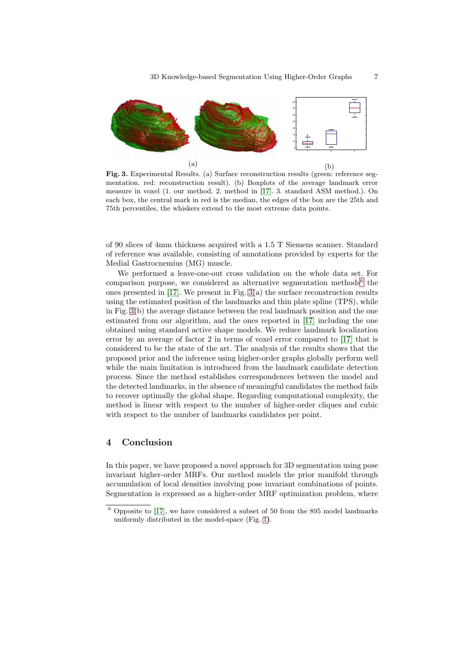

<span id="page-6-2"></span>Fig. 3. Experimental Results. (a) Surface reconstruction results (green: reference segmentation. red: reconstruction result). (b) Boxplots of the average landmark error measure in voxel (1. our method. 2. method in [\[17\]](#page-7-16). 3. standard ASM method.). On each box, the central mark in red is the median, the edges of the box are the 25th and 75th percentiles, the whiskers extend to the most extreme data points.

of 90 slices of 4mm thickness acquired with a 1.5 T Siemens scanner. Standard of reference was available, consisting of annotations provided by experts for the Medial Gastrocnemius (MG) muscle.

We performed a leave-one-out cross validation on the whole data set. For comparison purpose, we considered as alternative segmentation methods<sup>[6](#page-6-1)</sup> the ones presented in [\[17\]](#page-7-16). We present in Fig. [3\(](#page-6-2)a) the surface reconstruction results using the estimated position of the landmarks and thin plate spline (TPS), while in Fig. [3\(](#page-6-2)b) the average distance between the real landmark position and the one estimated from our algorithm, and the ones reported in [\[17\]](#page-7-16) including the one obtained using standard active shape models. We reduce landmark localization error by an average of factor 2 in terms of voxel error compared to [\[17\]](#page-7-16) that is considered to be the state of the art. The analysis of the results shows that the proposed prior and the inference using higher-order graphs globally perform well while the main limitation is introduced from the landmark candidate detection process. Since the method establishes correspondences between the model and the detected landmarks, in the absence of meaningful candidates the method fails to recover optimally the global shape. Regarding computational complexity, the method is linear with respect to the number of higher-order cliques and cubic with respect to the number of landmarks candidates per point.

# <span id="page-6-0"></span>4 Conclusion

In this paper, we have proposed a novel approach for 3D segmentation using pose invariant higher-order MRFs. Our method models the prior manifold through accumulation of local densities involving pose invariant combinations of points. Segmentation is expressed as a higher-order MRF optimization problem, where

<span id="page-6-1"></span> $6$  Opposite to [\[17\]](#page-7-16), we have considered a subset of 50 from the 895 model landmarks uniformly distributed in the model-space (Fig. [1\)](#page-2-0).